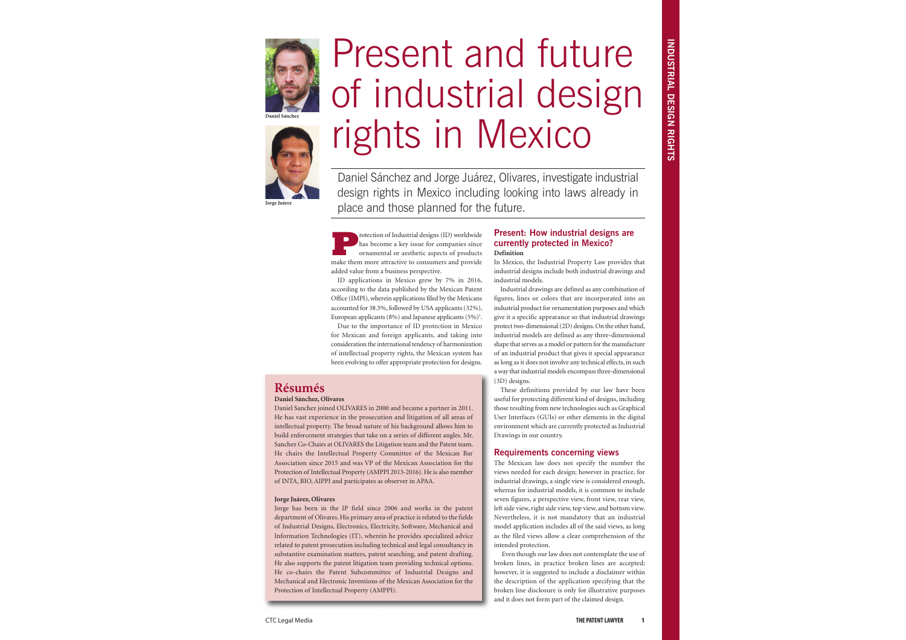**Protection of Industrial designs (ID) worldwide**<br>has become a key issue for companies since<br>ornamental or aesthetic aspects of products<br>make them more attractive to consumers and provide has become a key issue for companies since ornamental or aesthetic aspects of products make them more attractive to consumers and provide added value from a business perspective.

ID applications in Mexico grew by 7% in 2016, according to the data published by the Mexican Patent Office (IMPI), wherein applications filed by the Mexicans accounted for 38.5%, followed by USA applicants (32%), European applicants (8%) and Japanese applicants (5%)<sup>1</sup>.

Due to the importance of ID protection in Mexico for Mexican and foreign applicants, and taking into consideration the international tendency of harmonization of intellectual property rights, the Mexican system has been evolving to offer appropriate protection for designs.

## **Present: How industrial designs are currently protected in Mexico? Definition**

In Mexico, the Industrial Property Law provides that industrial designs include both industrial drawings and industrial models.

Industrial drawings are defined as any combination of figures, lines or colors that are incorporated into an industrial product for ornamentation purposes and which give it a specific appearance so that industrial drawings protect two-dimensional (2D) designs. On the other hand, industrial models are defined as any three-dimensional shape that serves as a model or pattern for the manufacture of an industrial product that gives it special appearance as long as it does not involve any technical effects, in such a way that industrial models encompass three-dimensional (3D) designs.

## These definitions provided by our law have been useful for protecting different kind of designs, including those resulting from new technologies such as Graphical User Interfaces (GUIs) or other elements in the digital environment which are currently protected as Industrial

Drawings in our country.

# **Requirements concerning views**

The Mexican law does not specify the number the views needed for each design; however in practice, for industrial drawings, a single view is considered enough, whereas for industrial models, it is common to include seven figures, a perspective view, front view, rear view, left side view, right side view, top view, and bottom view. Nevertheless, it is not mandatory that an industrial model application includes all of the said views, as long as the filed views allow a clear comprehension of the intended protection.

Even though our law does not contemplate the use of broken lines, in practice broken lines are accepted; however, it is suggested to include a disclaimer within the description of the application specifying that the broken line disclosure is only for illustrative purposes and it does not form part of the claimed design.

**Résumés**

#### **Daniel Sánchez, Olivares**

Daniel Sanchez joined OLIVARES in 2000 and became a partner in 2011. He has vast experience in the prosecution and litigation of all areas of intellectual property. The broad nature of his background allows him to build enforcement strategies that take on a series of different angles. Mr. Sanchez Co-Chairs at OLIVARES the Litigation team and the Patent team. He chairs the Intellectual Property Committee of the Mexican Bar Association since 2015 and was VP of the Mexican Association for the Protection of Intellectual Property (AMPPI 2013-2016). He is also member of INTA, BIO, AIPPI and participates as observer in APAA.

#### **Jorge Juárez, Olivares**

Jorge has been in the IP field since 2006 and works in the patent department of Olivares. His primary area of practice is related to the fields of Industrial Designs, Electronics, Electricity, Software, Mechanical and Information Technologies (IT), wherein he provides specialized advice related to patent prosecution including technical and legal consultancy in substantive examination matters, patent searching, and patent drafting. He also supports the patent litigation team providing technical options. He co-chairs the Patent Subcommittee of Industrial Designs and Mechanical and Electronic Inventions of the Mexican Association for the Protection of Intellectual Property (AMPPI).

# Present and future of industrial design rights in Mexico

Daniel Sánchez and Jorge Juárez, Olivares, investigate industrial design rights in Mexico including looking into laws already in place and those planned for the future.